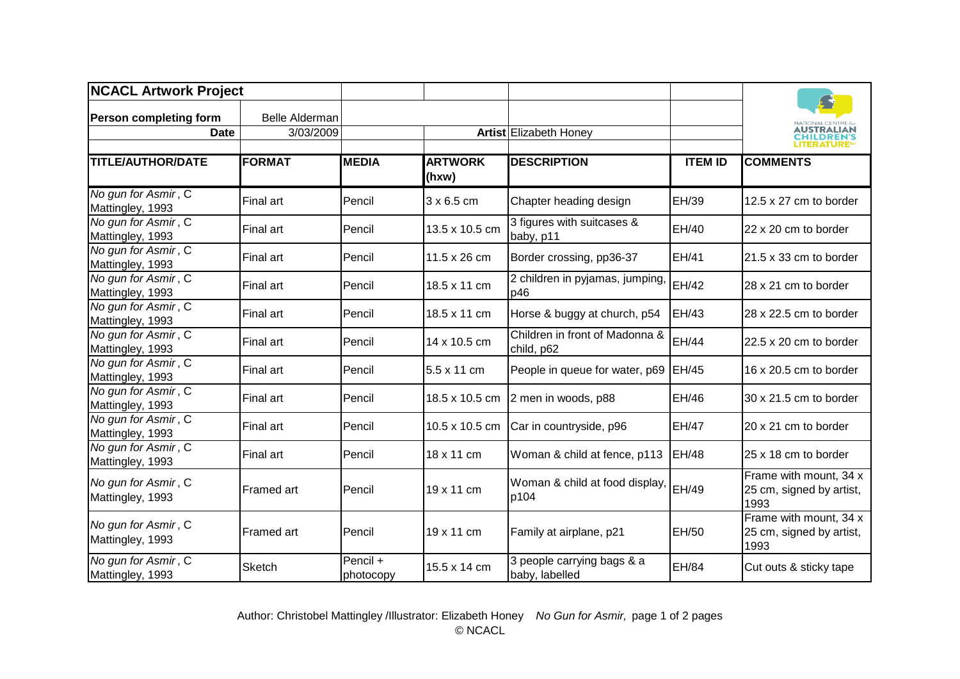| <b>NCACL Artwork Project</b>            |                       |                       |                         |                                              |                |                                                            |
|-----------------------------------------|-----------------------|-----------------------|-------------------------|----------------------------------------------|----------------|------------------------------------------------------------|
| <b>Person completing form</b>           | <b>Belle Alderman</b> |                       |                         |                                              |                | <b>NATIONAL CENTRE fo</b>                                  |
| <b>Date</b>                             | 3/03/2009             |                       |                         | Artist Elizabeth Honey                       |                | AUSTRALIAN<br><b>CHILDREN'S</b><br>LITERATURE <sup>®</sup> |
| <b>TITLE/AUTHOR/DATE</b>                | <b>FORMAT</b>         | <b>MEDIA</b>          | <b>ARTWORK</b><br>(hxw) | <b>DESCRIPTION</b>                           | <b>ITEM ID</b> | <b>COMMENTS</b>                                            |
| No gun for Asmir, C<br>Mattingley, 1993 | <b>Final art</b>      | Pencil                | 3 x 6.5 cm              | Chapter heading design                       | EH/39          | 12.5 x 27 cm to border                                     |
| No gun for Asmir, C<br>Mattingley, 1993 | Final art             | Pencil                | 13.5 x 10.5 cm          | 3 figures with suitcases &<br>baby, p11      | EH/40          | 22 x 20 cm to border                                       |
| No gun for Asmir, C<br>Mattingley, 1993 | Final art             | Pencil                | 11.5 x 26 cm            | Border crossing, pp36-37                     | EH/41          | $21.5 \times 33$ cm to border                              |
| No gun for Asmir, C<br>Mattingley, 1993 | Final art             | Pencil                | 18.5 x 11 cm            | 2 children in pyjamas, jumping,<br>p46       | EH/42          | 28 x 21 cm to border                                       |
| No gun for Asmir, C<br>Mattingley, 1993 | Final art             | Pencil                | 18.5 x 11 cm            | Horse & buggy at church, p54                 | EH/43          | 28 x 22.5 cm to border                                     |
| No gun for Asmir, C<br>Mattingley, 1993 | Final art             | Pencil                | 14 x 10.5 cm            | Children in front of Madonna &<br>child, p62 | <b>EH/44</b>   | 22.5 x 20 cm to border                                     |
| No gun for Asmir, C<br>Mattingley, 1993 | Final art             | Pencil                | 5.5 x 11 cm             | People in queue for water, p69               | EH/45          | 16 x 20.5 cm to border                                     |
| No gun for Asmir, C<br>Mattingley, 1993 | Final art             | Pencil                | 18.5 x 10.5 cm          | 2 men in woods, p88                          | EH/46          | 30 x 21.5 cm to border                                     |
| No gun for Asmir, C<br>Mattingley, 1993 | Final art             | Pencil                | 10.5 x 10.5 cm          | Car in countryside, p96                      | <b>EH/47</b>   | 20 x 21 cm to border                                       |
| No gun for Asmir, C<br>Mattingley, 1993 | Final art             | Pencil                | 18 x 11 cm              | Woman & child at fence, p113                 | EH/48          | 25 x 18 cm to border                                       |
| No gun for Asmir, C<br>Mattingley, 1993 | Framed art            | Pencil                | 19 x 11 cm              | Woman & child at food display,<br>p104       | <b>EH/49</b>   | Frame with mount, 34 x<br>25 cm, signed by artist,<br>1993 |
| No gun for Asmir, C<br>Mattingley, 1993 | Framed art            | Pencil                | 19 x 11 cm              | Family at airplane, p21                      | EH/50          | Frame with mount, 34 x<br>25 cm, signed by artist,<br>1993 |
| No gun for Asmir, C<br>Mattingley, 1993 | <b>Sketch</b>         | Pencil +<br>photocopy | 15.5 x 14 cm            | 3 people carrying bags & a<br>baby, labelled | EH/84          | Cut outs & sticky tape                                     |